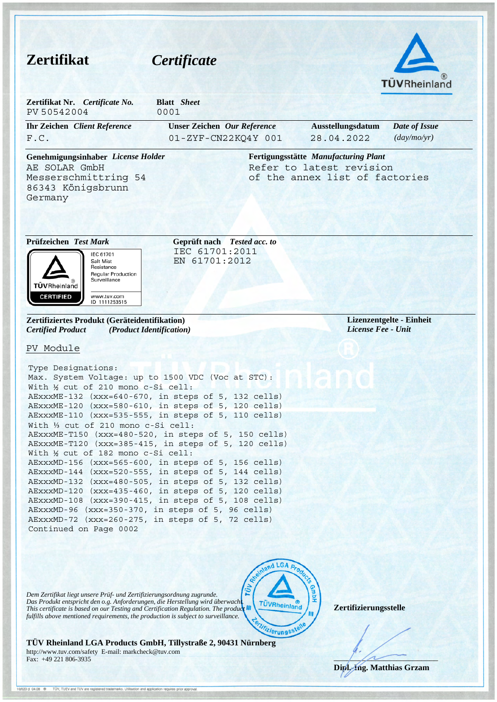| <b>Zertifikat</b>                                                                                                                                                                             | Certificate                                                                                                                                                                                                                                                                     |                                                                                                    |                          |
|-----------------------------------------------------------------------------------------------------------------------------------------------------------------------------------------------|---------------------------------------------------------------------------------------------------------------------------------------------------------------------------------------------------------------------------------------------------------------------------------|----------------------------------------------------------------------------------------------------|--------------------------|
|                                                                                                                                                                                               |                                                                                                                                                                                                                                                                                 |                                                                                                    | TÜVRheinland             |
| Zertifikat Nr. Certificate No.<br>PV 50542004                                                                                                                                                 | <b>Blatt</b> Sheet<br>0001                                                                                                                                                                                                                                                      |                                                                                                    |                          |
| <b>Ihr Zeichen</b> <i>Client Reference</i>                                                                                                                                                    | <b>Unser Zeichen</b> Our Reference                                                                                                                                                                                                                                              | Ausstellungsdatum                                                                                  | Date of Issue            |
| F.C.                                                                                                                                                                                          | 01-ZYF-CN22KQ4Y 001                                                                                                                                                                                                                                                             | 28.04.2022                                                                                         | (day/mo/yr)              |
| Genehmigungsinhaber License Holder<br>AE SOLAR GmbH<br>Messerschmittring 54<br>86343 Königsbrunn<br>Germany                                                                                   |                                                                                                                                                                                                                                                                                 | Fertigungsstätte Manufacturing Plant<br>Refer to latest revision<br>of the annex list of factories |                          |
| Prüfzeichen Test Mark<br><b>IEC 61701</b><br>Salt Mist<br>Resistance<br><b>Regular Production</b><br>Surveillance<br><b>TUV</b> Rheinland<br><b>CERTIFIED</b><br>www.tuv.com<br>ID 1111253515 | Geprüft nach Tested acc. to<br>IEC 61701:2011<br>EN 61701:2012                                                                                                                                                                                                                  |                                                                                                    |                          |
| Zertifiziertes Produkt (Geräteidentifikation)<br><b>Certified Product</b>                                                                                                                     | (Product Identification)                                                                                                                                                                                                                                                        | License Fee - Unit                                                                                 | Lizenzentgelte - Einheit |
| PV Module                                                                                                                                                                                     |                                                                                                                                                                                                                                                                                 |                                                                                                    |                          |
| Type Designations:<br>With 1/2 cut of 210 mono c-Si cell:                                                                                                                                     | Max. System Voltage: up to 1500 VDC (Voc at STC):<br>AEXXXME-132 (XXX=640-670, in steps of 5, 132 cells)<br>AEXXXME-120 (XXX=580-610, in steps of 5, 120 cells)                                                                                                                 |                                                                                                    |                          |
| With 1/3 cut of 210 mono c-Si cell:<br>With 1/2 cut of 182 mono c-Si cell:                                                                                                                    | AEXXXME-110 (XXX=535-555, in steps of 5, 110 cells)<br>AEXXXME-T150 (XXX=480-520, in steps of 5, 150 cells)<br>AEXXXME-T120 (XXX=385-415, in steps of 5, 120 cells)                                                                                                             |                                                                                                    |                          |
|                                                                                                                                                                                               | AEXXXMD-156 (XXX=565-600, in steps of 5, 156 cells)<br>AExxxMD-144 (xxx=520-555, in steps of 5, 144 cells)<br>AEXXXMD-132 (XXX=480-505, in steps of 5, 132 cells)<br>AExxxMD-120 (xxx=435-460, in steps of 5, 120 cells)<br>AEXXXMD-108 (XXX=390-415, in steps of 5, 108 cells) |                                                                                                    |                          |
| Continued on Page 0002                                                                                                                                                                        | AEXXXMD-96 (XXX=350-370, in steps of 5, 96 cells)<br>AExxxMD-72 (xxx=260-275, in steps of 5, 72 cells)                                                                                                                                                                          |                                                                                                    |                          |

*Dem Zertifikat liegt unsere Prüf- und Zertifizierungsordnung zugrunde. Das Produkt entspricht den o.g. Anforderungen, die Herstellung wird überwacht. This certificate is based on our Testing and Certification Regulation. The product*  fulfills above mentioned requirements, the production is subject to surveillance.

10/020 d 04.08 <sup>®</sup> TŪV, TUEV and TUV are registered trademarks. Utilisation and application requires prior approval



**Zertifizierungsstelle**

**TÜV Rheinland LGA Products GmbH, Tillystraße 2, 90431 Nürnberg**  http://www.tuv.com/safety E-mail: markcheck@tuv.com Fax: +49 221 806-3935

 $\sqrt{1-\frac{1}{2}}$ **Dipl.-Ing. Matthias Grzam**